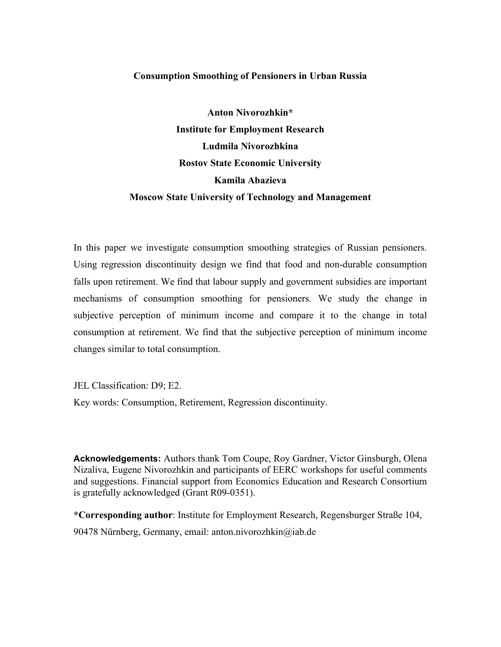### **Consumption Smoothing of Pensioners in Urban Russia**

**Anton Nivorozhkin\* Institute for Employment Research Ludmila Nivorozhkina Rostov State Economic University Kamila Abazieva Moscow State University of Technology and Management**

In this paper we investigate consumption smoothing strategies of Russian pensioners. Using regression discontinuity design we find that food and non-durable consumption falls upon retirement. We find that labour supply and government subsidies are important mechanisms of consumption smoothing for pensioners. We study the change in subjective perception of minimum income and compare it to the change in total consumption at retirement. We find that the subjective perception of minimum income changes similar to total consumption.

JEL Classification: D9; E2.

Key words: Consumption, Retirement, Regression discontinuity.

**Acknowledgements:** Authors thank Tom Coupe, Roy Gardner, Victor Ginsburgh, Olena Nizaliva, Eugene Nivorozhkin and participants of EERC workshops for useful comments and suggestions. Financial support from Economics Education and Research Consortium is gratefully acknowledged (Grant R09-0351).

**\*Corresponding author**: Institute for Employment Research, Regensburger Straße 104, 90478 Nürnberg, Germany, email: anton.nivorozhkin@iab.de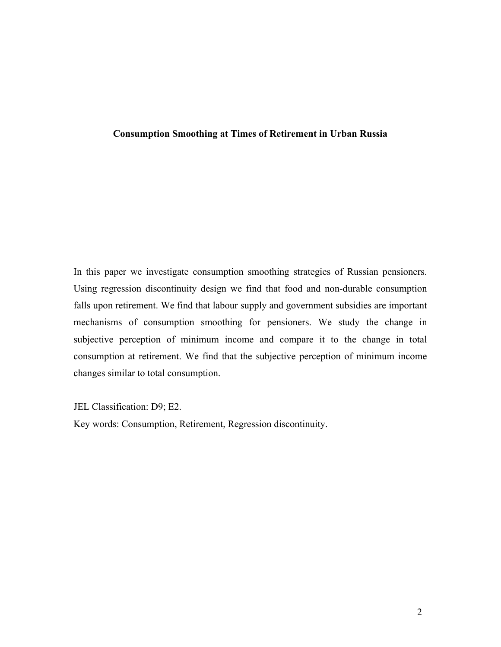# **Consumption Smoothing at Times of Retirement in Urban Russia**

In this paper we investigate consumption smoothing strategies of Russian pensioners. Using regression discontinuity design we find that food and non-durable consumption falls upon retirement. We find that labour supply and government subsidies are important mechanisms of consumption smoothing for pensioners. We study the change in subjective perception of minimum income and compare it to the change in total consumption at retirement. We find that the subjective perception of minimum income changes similar to total consumption.

JEL Classification: D9; E2.

Key words: Consumption, Retirement, Regression discontinuity.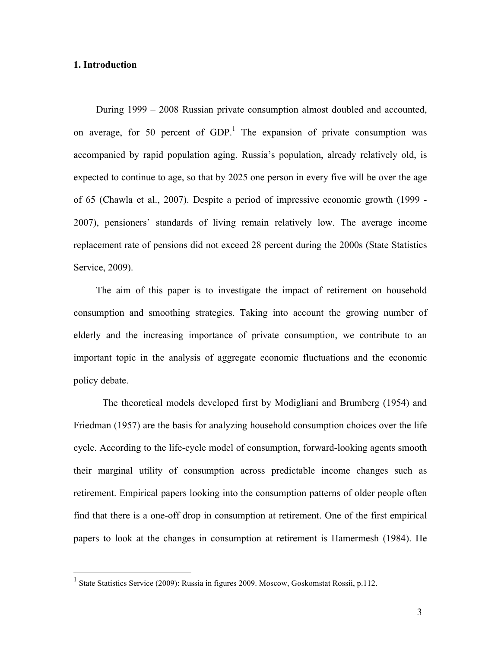### **1. Introduction**

During 1999 – 2008 Russian private consumption almost doubled and accounted, on average, for 50 percent of  $GDP<sup>1</sup>$ . The expansion of private consumption was accompanied by rapid population aging. Russia's population, already relatively old, is expected to continue to age, so that by 2025 one person in every five will be over the age of 65 (Chawla et al., 2007). Despite a period of impressive economic growth (1999 - 2007), pensioners' standards of living remain relatively low. The average income replacement rate of pensions did not exceed 28 percent during the 2000s (State Statistics Service, 2009).

The aim of this paper is to investigate the impact of retirement on household consumption and smoothing strategies. Taking into account the growing number of elderly and the increasing importance of private consumption, we contribute to an important topic in the analysis of aggregate economic fluctuations and the economic policy debate.

The theoretical models developed first by Modigliani and Brumberg (1954) and Friedman (1957) are the basis for analyzing household consumption choices over the life cycle. According to the life-cycle model of consumption, forward-looking agents smooth their marginal utility of consumption across predictable income changes such as retirement. Empirical papers looking into the consumption patterns of older people often find that there is a one-off drop in consumption at retirement. One of the first empirical papers to look at the changes in consumption at retirement is Hamermesh (1984). He

<sup>&</sup>lt;sup>1</sup> State Statistics Service (2009): Russia in figures 2009. Moscow, Goskomstat Rossii, p.112.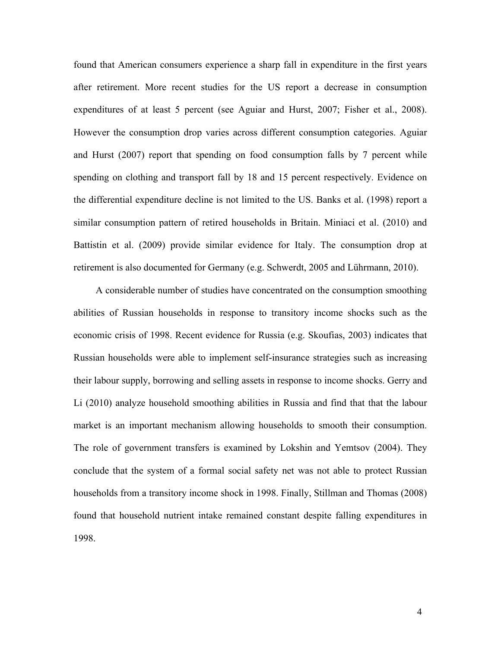found that American consumers experience a sharp fall in expenditure in the first years after retirement. More recent studies for the US report a decrease in consumption expenditures of at least 5 percent (see Aguiar and Hurst, 2007; Fisher et al., 2008). However the consumption drop varies across different consumption categories. Aguiar and Hurst (2007) report that spending on food consumption falls by 7 percent while spending on clothing and transport fall by 18 and 15 percent respectively. Evidence on the differential expenditure decline is not limited to the US. Banks et al. (1998) report a similar consumption pattern of retired households in Britain. Miniaci et al. (2010) and Battistin et al. (2009) provide similar evidence for Italy. The consumption drop at retirement is also documented for Germany (e.g. Schwerdt, 2005 and Lührmann, 2010).

A considerable number of studies have concentrated on the consumption smoothing abilities of Russian households in response to transitory income shocks such as the economic crisis of 1998. Recent evidence for Russia (e.g. Skoufias, 2003) indicates that Russian households were able to implement self-insurance strategies such as increasing their labour supply, borrowing and selling assets in response to income shocks. Gerry and Li (2010) analyze household smoothing abilities in Russia and find that that the labour market is an important mechanism allowing households to smooth their consumption. The role of government transfers is examined by Lokshin and Yemtsov (2004). They conclude that the system of a formal social safety net was not able to protect Russian households from a transitory income shock in 1998. Finally, Stillman and Thomas (2008) found that household nutrient intake remained constant despite falling expenditures in 1998.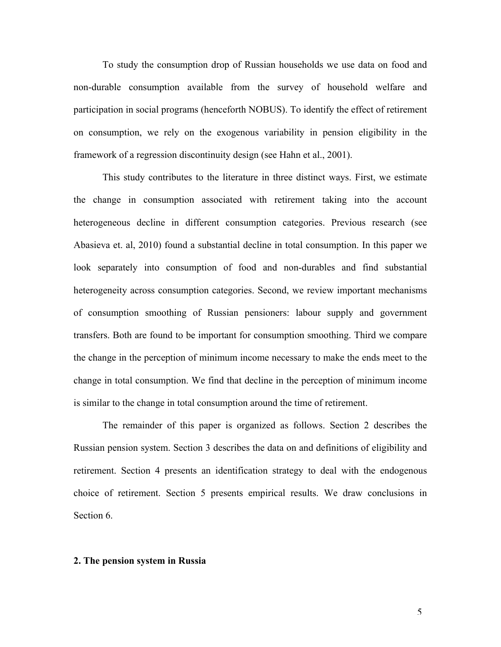To study the consumption drop of Russian households we use data on food and non-durable consumption available from the survey of household welfare and participation in social programs (henceforth NOBUS). To identify the effect of retirement on consumption, we rely on the exogenous variability in pension eligibility in the framework of a regression discontinuity design (see Hahn et al., 2001).

This study contributes to the literature in three distinct ways. First, we estimate the change in consumption associated with retirement taking into the account heterogeneous decline in different consumption categories. Previous research (see Abasieva et. al, 2010) found a substantial decline in total consumption. In this paper we look separately into consumption of food and non-durables and find substantial heterogeneity across consumption categories. Second, we review important mechanisms of consumption smoothing of Russian pensioners: labour supply and government transfers. Both are found to be important for consumption smoothing. Third we compare the change in the perception of minimum income necessary to make the ends meet to the change in total consumption. We find that decline in the perception of minimum income is similar to the change in total consumption around the time of retirement.

The remainder of this paper is organized as follows. Section 2 describes the Russian pension system. Section 3 describes the data on and definitions of eligibility and retirement. Section 4 presents an identification strategy to deal with the endogenous choice of retirement. Section 5 presents empirical results. We draw conclusions in Section 6.

#### **2. The pension system in Russia**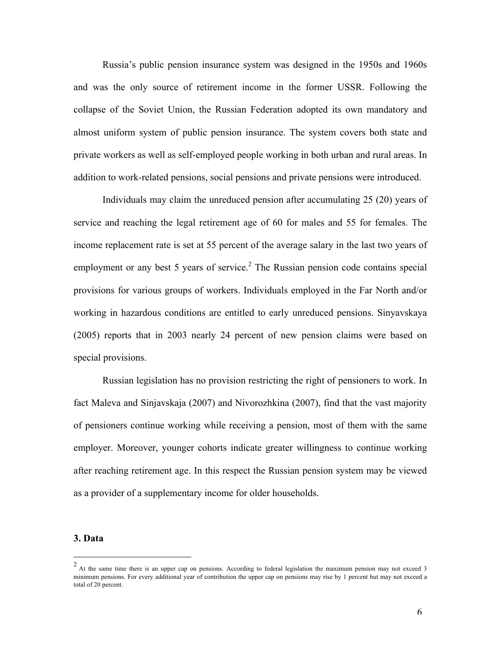Russia's public pension insurance system was designed in the 1950s and 1960s and was the only source of retirement income in the former USSR. Following the collapse of the Soviet Union, the Russian Federation adopted its own mandatory and almost uniform system of public pension insurance. The system covers both state and private workers as well as self-employed people working in both urban and rural areas. In addition to work-related pensions, social pensions and private pensions were introduced.

Individuals may claim the unreduced pension after accumulating 25 (20) years of service and reaching the legal retirement age of 60 for males and 55 for females. The income replacement rate is set at 55 percent of the average salary in the last two years of employment or any best 5 years of service.<sup>2</sup> The Russian pension code contains special provisions for various groups of workers. Individuals employed in the Far North and/or working in hazardous conditions are entitled to early unreduced pensions. Sinyavskaya (2005) reports that in 2003 nearly 24 percent of new pension claims were based on special provisions.

Russian legislation has no provision restricting the right of pensioners to work. In fact Maleva and Sinjavskaja (2007) and Nivorozhkina (2007), find that the vast majority of pensioners continue working while receiving a pension, most of them with the same employer. Moreover, younger cohorts indicate greater willingness to continue working after reaching retirement age. In this respect the Russian pension system may be viewed as a provider of a supplementary income for older households.

#### **3. Data**

 $\frac{1}{2}$ At the same time there is an upper cap on pensions. According to federal legislation the maximum pension may not exceed 3 minimum pensions. For every additional year of contribution the upper cap on pensions may rise by 1 percent but may not exceed a total of 20 percent.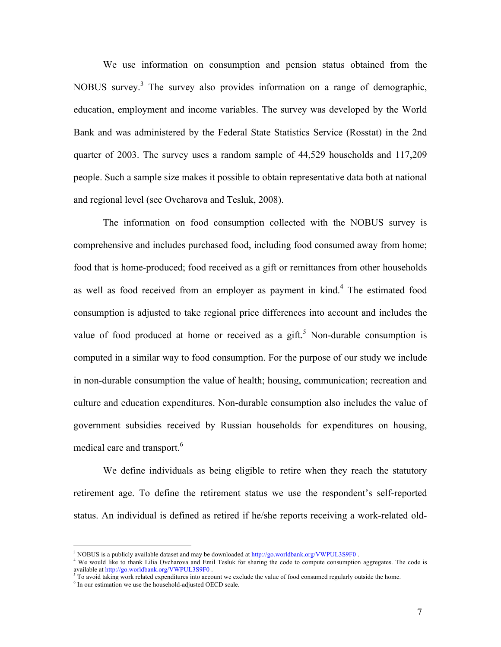We use information on consumption and pension status obtained from the NOBUS survey.<sup>3</sup> The survey also provides information on a range of demographic, education, employment and income variables. The survey was developed by the World Bank and was administered by the Federal State Statistics Service (Rosstat) in the 2nd quarter of 2003. The survey uses a random sample of 44,529 households and 117,209 people. Such a sample size makes it possible to obtain representative data both at national and regional level (see Ovcharova and Tesluk, 2008).

The information on food consumption collected with the NOBUS survey is comprehensive and includes purchased food, including food consumed away from home; food that is home-produced; food received as a gift or remittances from other households as well as food received from an employer as payment in kind.<sup>4</sup> The estimated food consumption is adjusted to take regional price differences into account and includes the value of food produced at home or received as a gift.<sup>5</sup> Non-durable consumption is computed in a similar way to food consumption. For the purpose of our study we include in non-durable consumption the value of health; housing, communication; recreation and culture and education expenditures. Non-durable consumption also includes the value of government subsidies received by Russian households for expenditures on housing, medical care and transport.<sup>6</sup>

We define individuals as being eligible to retire when they reach the statutory retirement age. To define the retirement status we use the respondent's self-reported status. An individual is defined as retired if he/she reports receiving a work-related old-

<sup>&</sup>lt;sup>3</sup> NOBUS is a publicly available dataset and may be downloaded at  $\frac{http://go.worldbank.org/WWPUL3S9F0}{http://go.worldbank.org/WWPUL3S9F0}$ .<br><sup>4</sup> We would like to thank Lilia Ovcharova and Emil Tesluk for sharing the code to compute consumption aggregates available at http://go.worldbank.org/VWPUL3S9F0 .

<sup>5</sup> To avoid taking work related expenditures into account we exclude the value of food consumed regularly outside the home.

<sup>&</sup>lt;sup>6</sup> In our estimation we use the household-adjusted OECD scale.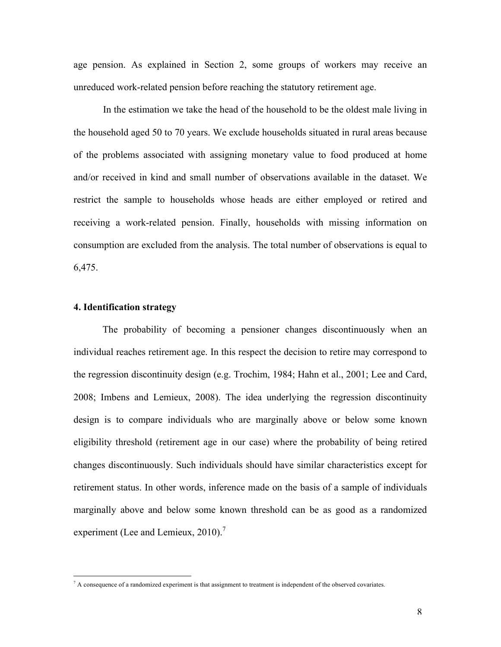age pension. As explained in Section 2, some groups of workers may receive an unreduced work-related pension before reaching the statutory retirement age.

In the estimation we take the head of the household to be the oldest male living in the household aged 50 to 70 years. We exclude households situated in rural areas because of the problems associated with assigning monetary value to food produced at home and/or received in kind and small number of observations available in the dataset. We restrict the sample to households whose heads are either employed or retired and receiving a work-related pension. Finally, households with missing information on consumption are excluded from the analysis. The total number of observations is equal to 6,475.

#### **4. Identification strategy**

The probability of becoming a pensioner changes discontinuously when an individual reaches retirement age. In this respect the decision to retire may correspond to the regression discontinuity design (e.g. Trochim, 1984; Hahn et al., 2001; Lee and Card, 2008; Imbens and Lemieux, 2008). The idea underlying the regression discontinuity design is to compare individuals who are marginally above or below some known eligibility threshold (retirement age in our case) where the probability of being retired changes discontinuously. Such individuals should have similar characteristics except for retirement status. In other words, inference made on the basis of a sample of individuals marginally above and below some known threshold can be as good as a randomized experiment (Lee and Lemieux, 2010).<sup>7</sup>

 $^7$  A consequence of a randomized experiment is that assignment to treatment is independent of the observed covariates.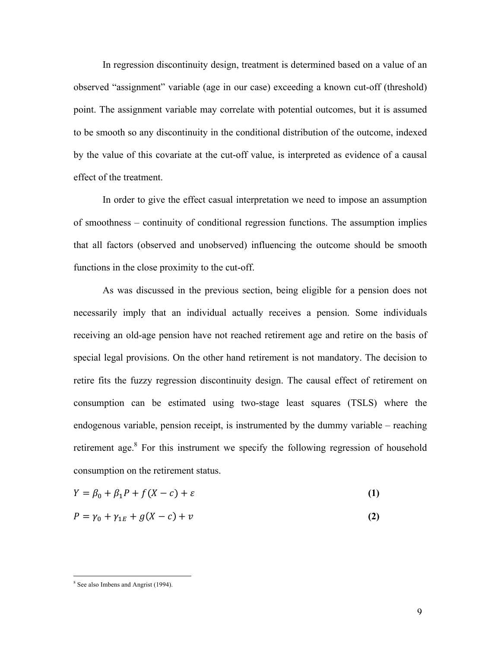In regression discontinuity design, treatment is determined based on a value of an observed "assignment" variable (age in our case) exceeding a known cut-off (threshold) point. The assignment variable may correlate with potential outcomes, but it is assumed to be smooth so any discontinuity in the conditional distribution of the outcome, indexed by the value of this covariate at the cut-off value, is interpreted as evidence of a causal effect of the treatment.

In order to give the effect casual interpretation we need to impose an assumption of smoothness – continuity of conditional regression functions. The assumption implies that all factors (observed and unobserved) influencing the outcome should be smooth functions in the close proximity to the cut-off.

As was discussed in the previous section, being eligible for a pension does not necessarily imply that an individual actually receives a pension. Some individuals receiving an old-age pension have not reached retirement age and retire on the basis of special legal provisions. On the other hand retirement is not mandatory. The decision to retire fits the fuzzy regression discontinuity design. The causal effect of retirement on consumption can be estimated using two-stage least squares (TSLS) where the endogenous variable, pension receipt, is instrumented by the dummy variable – reaching retirement age.<sup>8</sup> For this instrument we specify the following regression of household consumption on the retirement status.

$$
Y = \beta_0 + \beta_1 P + f(X - c) + \varepsilon \tag{1}
$$

$$
P = \gamma_0 + \gamma_{1E} + g(X - c) + v \tag{2}
$$

 <sup>8</sup> See also Imbens and Angrist (1994).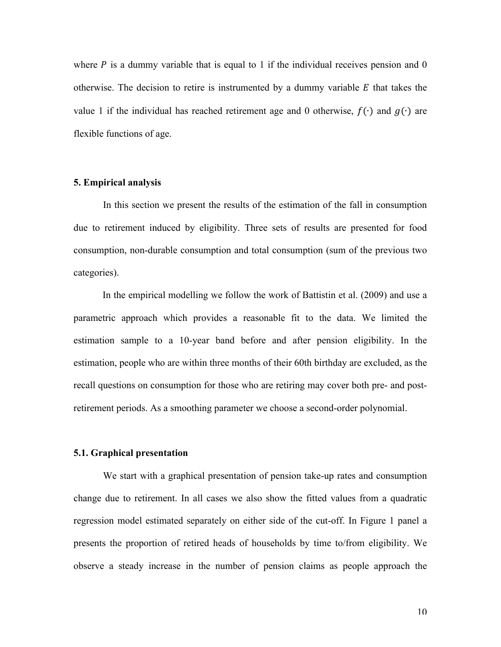where  $P$  is a dummy variable that is equal to 1 if the individual receives pension and 0 otherwise. The decision to retire is instrumented by a dummy variable  $E$  that takes the value 1 if the individual has reached retirement age and 0 otherwise,  $f(\cdot)$  and  $g(\cdot)$  are flexible functions of age.

#### **5. Empirical analysis**

In this section we present the results of the estimation of the fall in consumption due to retirement induced by eligibility. Three sets of results are presented for food consumption, non-durable consumption and total consumption (sum of the previous two categories).

In the empirical modelling we follow the work of Battistin et al. (2009) and use a parametric approach which provides a reasonable fit to the data. We limited the estimation sample to a 10-year band before and after pension eligibility. In the estimation, people who are within three months of their 60th birthday are excluded, as the recall questions on consumption for those who are retiring may cover both pre- and postretirement periods. As a smoothing parameter we choose a second-order polynomial.

### **5.1. Graphical presentation**

We start with a graphical presentation of pension take-up rates and consumption change due to retirement. In all cases we also show the fitted values from a quadratic regression model estimated separately on either side of the cut-off. In Figure 1 panel a presents the proportion of retired heads of households by time to/from eligibility. We observe a steady increase in the number of pension claims as people approach the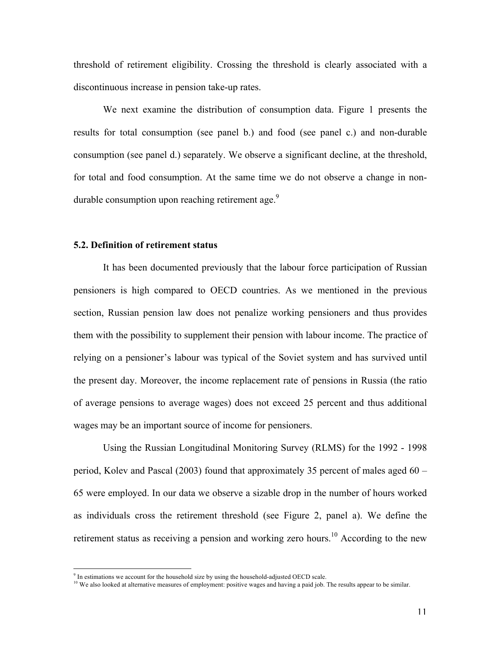threshold of retirement eligibility. Crossing the threshold is clearly associated with a discontinuous increase in pension take-up rates.

We next examine the distribution of consumption data. Figure 1 presents the results for total consumption (see panel b.) and food (see panel c.) and non-durable consumption (see panel d.) separately. We observe a significant decline, at the threshold, for total and food consumption. At the same time we do not observe a change in nondurable consumption upon reaching retirement age.<sup>9</sup>

#### **5.2. Definition of retirement status**

It has been documented previously that the labour force participation of Russian pensioners is high compared to OECD countries. As we mentioned in the previous section, Russian pension law does not penalize working pensioners and thus provides them with the possibility to supplement their pension with labour income. The practice of relying on a pensioner's labour was typical of the Soviet system and has survived until the present day. Moreover, the income replacement rate of pensions in Russia (the ratio of average pensions to average wages) does not exceed 25 percent and thus additional wages may be an important source of income for pensioners.

Using the Russian Longitudinal Monitoring Survey (RLMS) for the 1992 - 1998 period, Kolev and Pascal (2003) found that approximately 35 percent of males aged 60 – 65 were employed. In our data we observe a sizable drop in the number of hours worked as individuals cross the retirement threshold (see Figure 2, panel a). We define the retirement status as receiving a pension and working zero hours.<sup>10</sup> According to the new

 $9<sup>9</sup>$  In estimations we account for the household size by using the household-adjusted OECD scale.

<sup>&</sup>lt;sup>10</sup> We also looked at alternative measures of employment: positive wages and having a paid job. The results appear to be similar.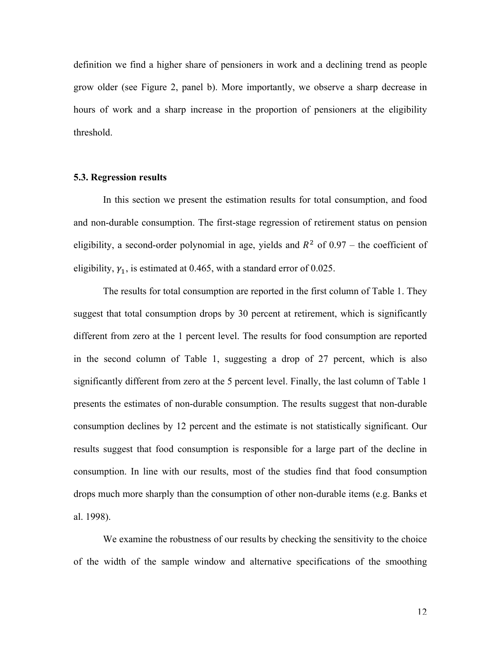definition we find a higher share of pensioners in work and a declining trend as people grow older (see Figure 2, panel b). More importantly, we observe a sharp decrease in hours of work and a sharp increase in the proportion of pensioners at the eligibility threshold.

#### **5.3. Regression results**

In this section we present the estimation results for total consumption, and food and non-durable consumption. The first-stage regression of retirement status on pension eligibility, a second-order polynomial in age, yields and  $R^2$  of 0.97 – the coefficient of eligibility,  $\gamma_1$ , is estimated at 0.465, with a standard error of 0.025.

The results for total consumption are reported in the first column of Table 1. They suggest that total consumption drops by 30 percent at retirement, which is significantly different from zero at the 1 percent level. The results for food consumption are reported in the second column of Table 1, suggesting a drop of 27 percent, which is also significantly different from zero at the 5 percent level. Finally, the last column of Table 1 presents the estimates of non-durable consumption. The results suggest that non-durable consumption declines by 12 percent and the estimate is not statistically significant. Our results suggest that food consumption is responsible for a large part of the decline in consumption. In line with our results, most of the studies find that food consumption drops much more sharply than the consumption of other non-durable items (e.g. Banks et al. 1998).

We examine the robustness of our results by checking the sensitivity to the choice of the width of the sample window and alternative specifications of the smoothing

12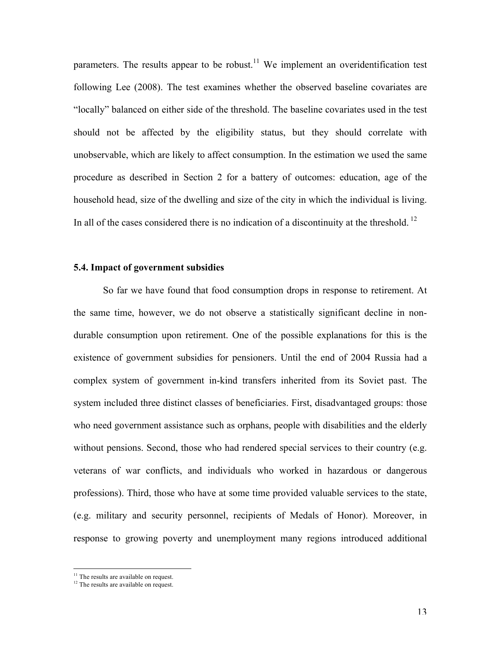parameters. The results appear to be robust.<sup>11</sup> We implement an overidentification test following Lee (2008). The test examines whether the observed baseline covariates are "locally" balanced on either side of the threshold. The baseline covariates used in the test should not be affected by the eligibility status, but they should correlate with unobservable, which are likely to affect consumption. In the estimation we used the same procedure as described in Section 2 for a battery of outcomes: education, age of the household head, size of the dwelling and size of the city in which the individual is living. In all of the cases considered there is no indication of a discontinuity at the threshold.<sup>12</sup>

#### **5.4. Impact of government subsidies**

So far we have found that food consumption drops in response to retirement. At the same time, however, we do not observe a statistically significant decline in nondurable consumption upon retirement. One of the possible explanations for this is the existence of government subsidies for pensioners. Until the end of 2004 Russia had a complex system of government in-kind transfers inherited from its Soviet past. The system included three distinct classes of beneficiaries. First, disadvantaged groups: those who need government assistance such as orphans, people with disabilities and the elderly without pensions. Second, those who had rendered special services to their country (e.g. veterans of war conflicts, and individuals who worked in hazardous or dangerous professions). Third, those who have at some time provided valuable services to the state, (e.g. military and security personnel, recipients of Medals of Honor). Moreover, in response to growing poverty and unemployment many regions introduced additional

 $11$  The results are available on request.

<sup>&</sup>lt;sup>12</sup> The results are available on request.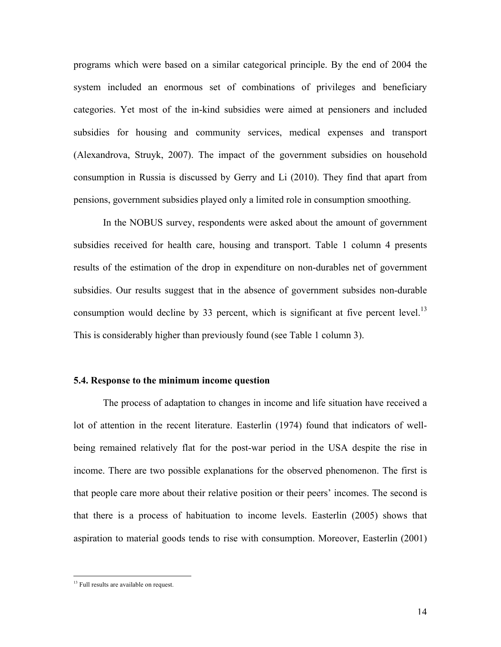programs which were based on a similar categorical principle. By the end of 2004 the system included an enormous set of combinations of privileges and beneficiary categories. Yet most of the in-kind subsidies were aimed at pensioners and included subsidies for housing and community services, medical expenses and transport (Alexandrova, Struyk, 2007). The impact of the government subsidies on household consumption in Russia is discussed by Gerry and Li (2010). They find that apart from pensions, government subsidies played only a limited role in consumption smoothing.

In the NOBUS survey, respondents were asked about the amount of government subsidies received for health care, housing and transport. Table 1 column 4 presents results of the estimation of the drop in expenditure on non-durables net of government subsidies. Our results suggest that in the absence of government subsides non-durable consumption would decline by 33 percent, which is significant at five percent level.<sup>13</sup> This is considerably higher than previously found (see Table 1 column 3).

### **5.4. Response to the minimum income question**

The process of adaptation to changes in income and life situation have received a lot of attention in the recent literature. Easterlin (1974) found that indicators of wellbeing remained relatively flat for the post-war period in the USA despite the rise in income. There are two possible explanations for the observed phenomenon. The first is that people care more about their relative position or their peers' incomes. The second is that there is a process of habituation to income levels. Easterlin (2005) shows that aspiration to material goods tends to rise with consumption. Moreover, Easterlin (2001)

<sup>&</sup>lt;sup>13</sup> Full results are available on request.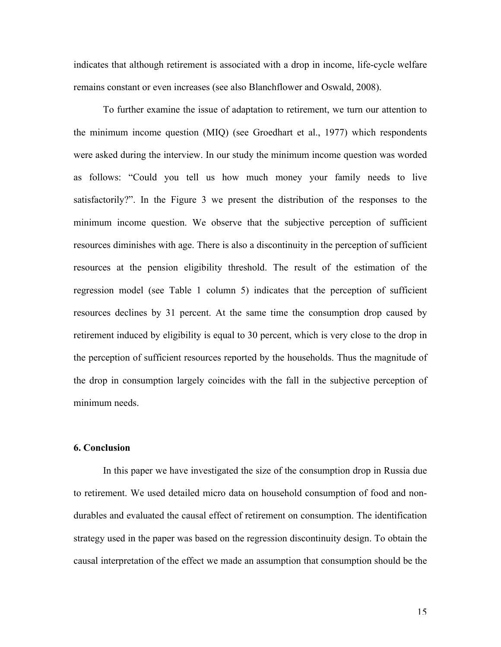indicates that although retirement is associated with a drop in income, life-cycle welfare remains constant or even increases (see also Blanchflower and Oswald, 2008).

To further examine the issue of adaptation to retirement, we turn our attention to the minimum income question (MIQ) (see Groedhart et al., 1977) which respondents were asked during the interview. In our study the minimum income question was worded as follows: "Could you tell us how much money your family needs to live satisfactorily?". In the Figure 3 we present the distribution of the responses to the minimum income question. We observe that the subjective perception of sufficient resources diminishes with age. There is also a discontinuity in the perception of sufficient resources at the pension eligibility threshold. The result of the estimation of the regression model (see Table 1 column 5) indicates that the perception of sufficient resources declines by 31 percent. At the same time the consumption drop caused by retirement induced by eligibility is equal to 30 percent, which is very close to the drop in the perception of sufficient resources reported by the households. Thus the magnitude of the drop in consumption largely coincides with the fall in the subjective perception of minimum needs.

## **6. Conclusion**

In this paper we have investigated the size of the consumption drop in Russia due to retirement. We used detailed micro data on household consumption of food and nondurables and evaluated the causal effect of retirement on consumption. The identification strategy used in the paper was based on the regression discontinuity design. To obtain the causal interpretation of the effect we made an assumption that consumption should be the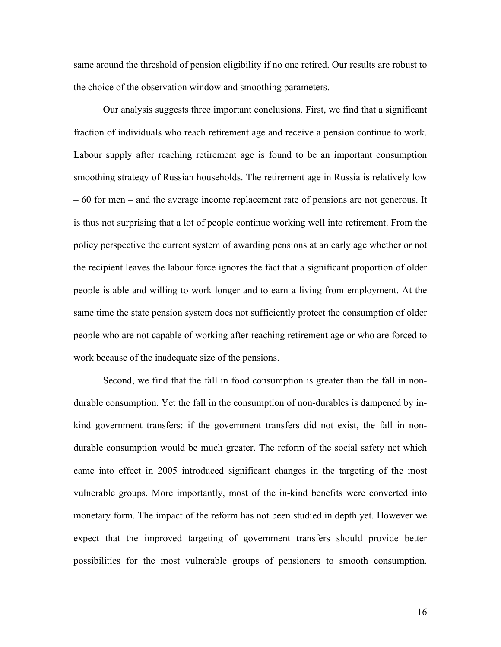same around the threshold of pension eligibility if no one retired. Our results are robust to the choice of the observation window and smoothing parameters.

Our analysis suggests three important conclusions. First, we find that a significant fraction of individuals who reach retirement age and receive a pension continue to work. Labour supply after reaching retirement age is found to be an important consumption smoothing strategy of Russian households. The retirement age in Russia is relatively low – 60 for men – and the average income replacement rate of pensions are not generous. It is thus not surprising that a lot of people continue working well into retirement. From the policy perspective the current system of awarding pensions at an early age whether or not the recipient leaves the labour force ignores the fact that a significant proportion of older people is able and willing to work longer and to earn a living from employment. At the same time the state pension system does not sufficiently protect the consumption of older people who are not capable of working after reaching retirement age or who are forced to work because of the inadequate size of the pensions.

Second, we find that the fall in food consumption is greater than the fall in nondurable consumption. Yet the fall in the consumption of non-durables is dampened by inkind government transfers: if the government transfers did not exist, the fall in nondurable consumption would be much greater. The reform of the social safety net which came into effect in 2005 introduced significant changes in the targeting of the most vulnerable groups. More importantly, most of the in-kind benefits were converted into monetary form. The impact of the reform has not been studied in depth yet. However we expect that the improved targeting of government transfers should provide better possibilities for the most vulnerable groups of pensioners to smooth consumption.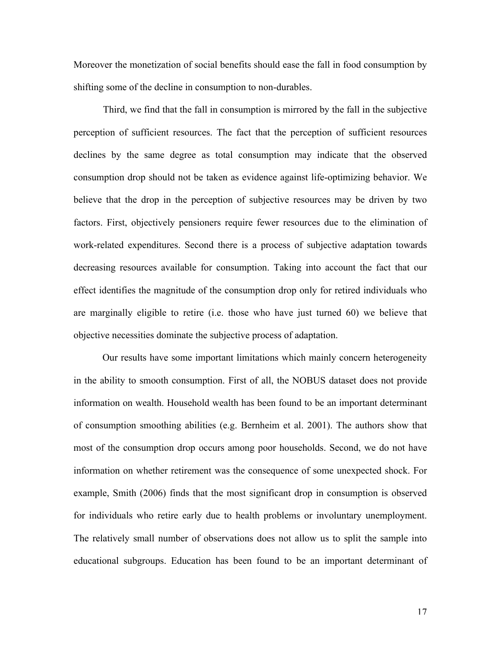Moreover the monetization of social benefits should ease the fall in food consumption by shifting some of the decline in consumption to non-durables.

Third, we find that the fall in consumption is mirrored by the fall in the subjective perception of sufficient resources. The fact that the perception of sufficient resources declines by the same degree as total consumption may indicate that the observed consumption drop should not be taken as evidence against life-optimizing behavior. We believe that the drop in the perception of subjective resources may be driven by two factors. First, objectively pensioners require fewer resources due to the elimination of work-related expenditures. Second there is a process of subjective adaptation towards decreasing resources available for consumption. Taking into account the fact that our effect identifies the magnitude of the consumption drop only for retired individuals who are marginally eligible to retire (i.e. those who have just turned 60) we believe that objective necessities dominate the subjective process of adaptation.

Our results have some important limitations which mainly concern heterogeneity in the ability to smooth consumption. First of all, the NOBUS dataset does not provide information on wealth. Household wealth has been found to be an important determinant of consumption smoothing abilities (e.g. Bernheim et al. 2001). The authors show that most of the consumption drop occurs among poor households. Second, we do not have information on whether retirement was the consequence of some unexpected shock. For example, Smith (2006) finds that the most significant drop in consumption is observed for individuals who retire early due to health problems or involuntary unemployment. The relatively small number of observations does not allow us to split the sample into educational subgroups. Education has been found to be an important determinant of

17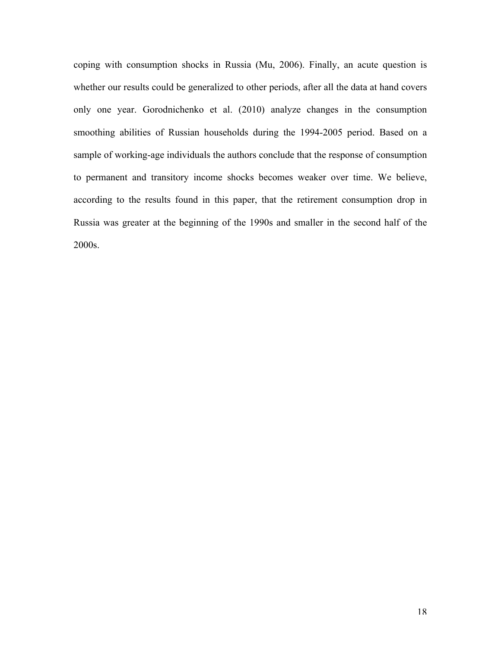coping with consumption shocks in Russia (Mu, 2006). Finally, an acute question is whether our results could be generalized to other periods, after all the data at hand covers only one year. Gorodnichenko et al. (2010) analyze changes in the consumption smoothing abilities of Russian households during the 1994-2005 period. Based on a sample of working-age individuals the authors conclude that the response of consumption to permanent and transitory income shocks becomes weaker over time. We believe, according to the results found in this paper, that the retirement consumption drop in Russia was greater at the beginning of the 1990s and smaller in the second half of the 2000s.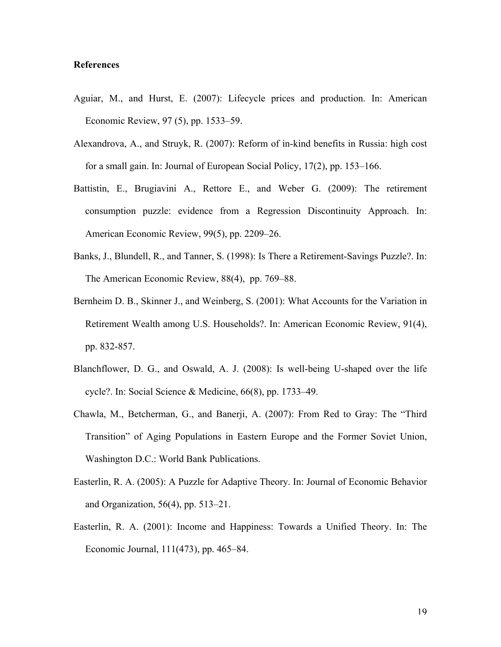### **References**

- Aguiar, M., and Hurst, E. (2007): Lifecycle prices and production. In: American Economic Review, 97 (5), pp. 1533–59.
- Alexandrova, A., and Struyk, R. (2007): Reform of in-kind benefits in Russia: high cost for a small gain. In: Journal of European Social Policy, 17(2), pp. 153–166.
- Battistin, E., Brugiavini A., Rettore E., and Weber G. (2009): The retirement consumption puzzle: evidence from a Regression Discontinuity Approach. In: American Economic Review, 99(5), pp. 2209–26.
- Banks, J., Blundell, R., and Tanner, S. (1998): Is There a Retirement-Savings Puzzle?. In: The American Economic Review, 88(4), pp. 769–88.
- Bernheim D. B., Skinner J., and Weinberg, S. (2001): What Accounts for the Variation in Retirement Wealth among U.S. Households?. In: American Economic Review, 91(4), pp. 832-857.
- Blanchflower, D. G., and Oswald, A. J. (2008): Is well-being U-shaped over the life cycle?. In: Social Science & Medicine, 66(8), pp. 1733–49.
- Chawla, M., Betcherman, G., and Banerji, A. (2007): From Red to Gray: The "Third Transition" of Aging Populations in Eastern Europe and the Former Soviet Union, Washington D.C.: World Bank Publications.
- Easterlin, R. A. (2005): A Puzzle for Adaptive Theory. In: Journal of Economic Behavior and Organization, 56(4), pp. 513–21.
- Easterlin, R. A. (2001): Income and Happiness: Towards a Unified Theory. In: The Economic Journal, 111(473), pp. 465–84.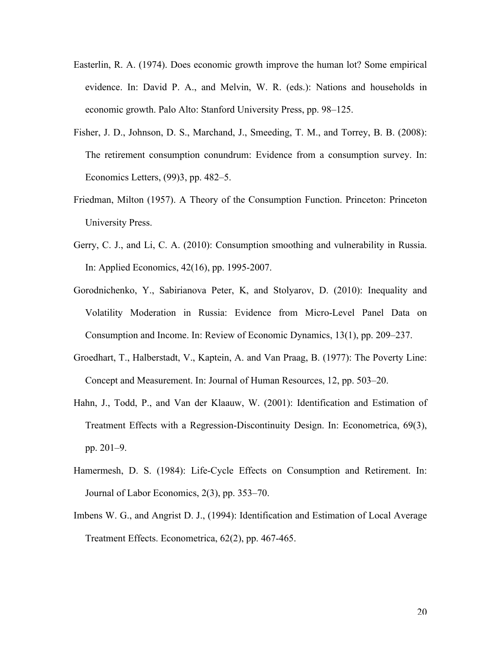- Easterlin, R. A. (1974). Does economic growth improve the human lot? Some empirical evidence. In: David P. A., and Melvin, W. R. (eds.): Nations and households in economic growth. Palo Alto: Stanford University Press, pp. 98–125.
- Fisher, J. D., Johnson, D. S., Marchand, J., Smeeding, T. M., and Torrey, B. B. (2008): The retirement consumption conundrum: Evidence from a consumption survey. In: Economics Letters, (99)3, pp. 482–5.
- Friedman, Milton (1957). A Theory of the Consumption Function. Princeton: Princeton University Press.
- Gerry, C. J., and Li, C. A. (2010): Consumption smoothing and vulnerability in Russia. In: Applied Economics, 42(16), pp. 1995-2007.
- Gorodnichenko, Y., Sabirianova Peter, K, and Stolyarov, D. (2010): Inequality and Volatility Moderation in Russia: Evidence from Micro-Level Panel Data on Consumption and Income. In: Review of Economic Dynamics, 13(1), pp. 209–237.
- Groedhart, T., Halberstadt, V., Kaptein, A. and Van Praag, B. (1977): The Poverty Line: Concept and Measurement. In: Journal of Human Resources, 12, pp. 503–20.
- Hahn, J., Todd, P., and Van der Klaauw, W. (2001): Identification and Estimation of Treatment Effects with a Regression-Discontinuity Design. In: Econometrica, 69(3), pp. 201–9.
- Hamermesh, D. S. (1984): Life-Cycle Effects on Consumption and Retirement. In: Journal of Labor Economics, 2(3), pp. 353–70.
- Imbens W. G., and Angrist D. J., (1994): Identification and Estimation of Local Average Treatment Effects. Econometrica, 62(2), pp. 467-465.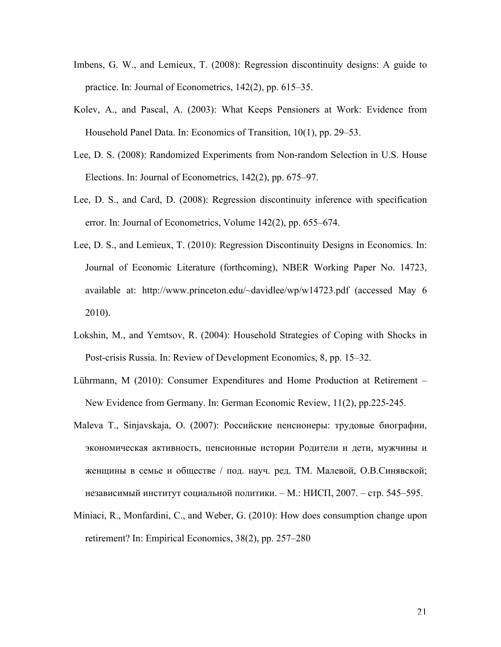- Imbens, G. W., and Lemieux, T. (2008): Regression discontinuity designs: A guide to practice. In: Journal of Econometrics, 142(2), pp. 615–35.
- Kolev, A., and Pascal, A. (2003): What Keeps Pensioners at Work: Evidence from Household Panel Data. In: Economics of Transition, 10(1), pp. 29–53.
- Lee, D. S. (2008): Randomized Experiments from Non-random Selection in U.S. House Elections. In: Journal of Econometrics, 142(2), pp. 675–97.
- Lee, D. S., and Card, D. (2008): Regression discontinuity inference with specification error. In: Journal of Econometrics, Volume 142(2), pp. 655–674.
- Lee, D. S., and Lemieux, T. (2010): Regression Discontinuity Designs in Economics. In: Journal of Economic Literature (forthcoming), NBER Working Paper No. 14723, available at: http://www.princeton.edu/~davidlee/wp/w14723.pdf (accessed May 6 2010).
- Lokshin, M., and Yemtsov, R. (2004): Household Strategies of Coping with Shocks in Post-crisis Russia. In: Review of Development Economics, 8, pp. 15–32.
- Lührmann, M (2010): Consumer Expenditures and Home Production at Retirement New Evidence from Germany. In: German Economic Review, 11(2), pp.225-245.
- Maleva T., Sinjavskaja, O. (2007): Российские пенсионеры: трудовые биографии, экономическая активность, пенсионные истории Родители и дети, мужчины и женщины в семье и обществе / под. науч. ред. ТМ. Малевой, О.В.Синявской; независимый институт социальной политики. – М.: НИСП, 2007. – стр. 545–595.
- Miniaci, R., Monfardini, C., and Weber, G. (2010): How does consumption change upon retirement? In: Empirical Economics, 38(2), pp. 257–280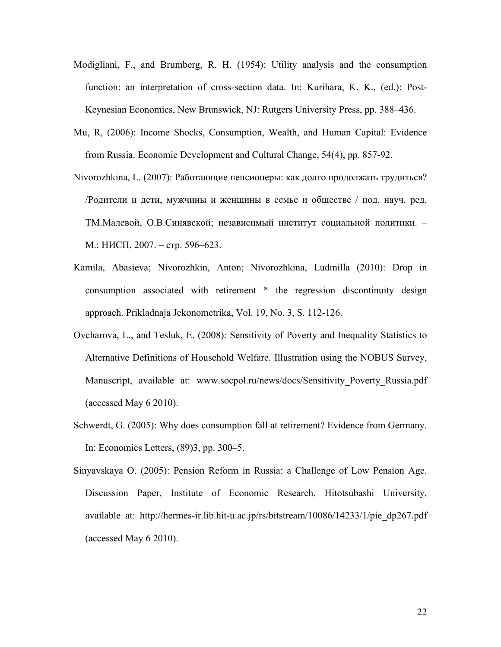- Modigliani, F., and Brumberg, R. H. (1954): Utility analysis and the consumption function: an interpretation of cross-section data. In: Kurihara, K. K., (ed.): Post-Keynesian Economics, New Brunswick, NJ: Rutgers University Press, pp. 388–436.
- Mu, R, (2006): Income Shocks, Consumption, Wealth, and Human Capital: Evidence from Russia. Economic Development and Cultural Change, 54(4), pp. 857-92.
- Nivorozhkina, L. (2007): Работающие пенсионеры: как долго продолжать трудиться? /Родители и дети, мужчины и женщины в семье и обществе / под. науч. ред. ТМ.Малевой, О.В.Синявской; независимый институт социальной политики. – М.: НИСП, 2007. – стр. 596–623.
- Kamila, Abasieva; Nivorozhkin, Anton; Nivorozhkina, Ludmilla (2010): Drop in consumption associated with retirement \* the regression discontinuity design approach. Prikladnaja Jekonometrika, Vol. 19, No. 3, S. 112-126.
- Ovcharova, L., and Tesluk, E. (2008): Sensitivity of Poverty and Inequality Statistics to Alternative Definitions of Household Welfare. Illustration using the NOBUS Survey, Manuscript, available at: www.socpol.ru/news/docs/Sensitivity Poverty Russia.pdf (accessed May 6 2010).
- Schwerdt, G. (2005): Why does consumption fall at retirement? Evidence from Germany. In: Economics Letters, (89)3, pp. 300–5.
- Sinyavskaya O. (2005): Pension Reform in Russia: a Challenge of Low Pension Age. Discussion Paper, Institute of Economic Research, Hitotsubashi University, available at: http://hermes-ir.lib.hit-u.ac.jp/rs/bitstream/10086/14233/1/pie dp267.pdf (accessed May 6 2010).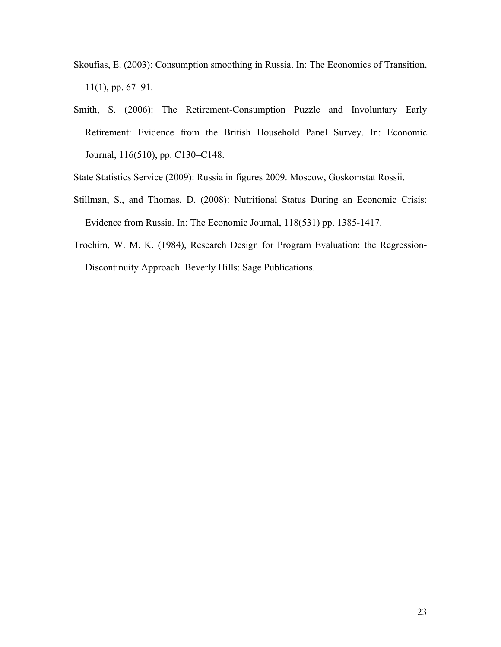- Skoufias, E. (2003): Consumption smoothing in Russia. In: The Economics of Transition, 11(1), pp. 67–91.
- Smith, S. (2006): The Retirement-Consumption Puzzle and Involuntary Early Retirement: Evidence from the British Household Panel Survey. In: Economic Journal, 116(510), pp. C130–C148.

State Statistics Service (2009): Russia in figures 2009. Moscow, Goskomstat Rossii.

- Stillman, S., and Thomas, D. (2008): Nutritional Status During an Economic Crisis: Evidence from Russia. In: The Economic Journal, 118(531) pp. 1385-1417.
- Trochim, W. M. K. (1984), Research Design for Program Evaluation: the Regression-Discontinuity Approach. Beverly Hills: Sage Publications.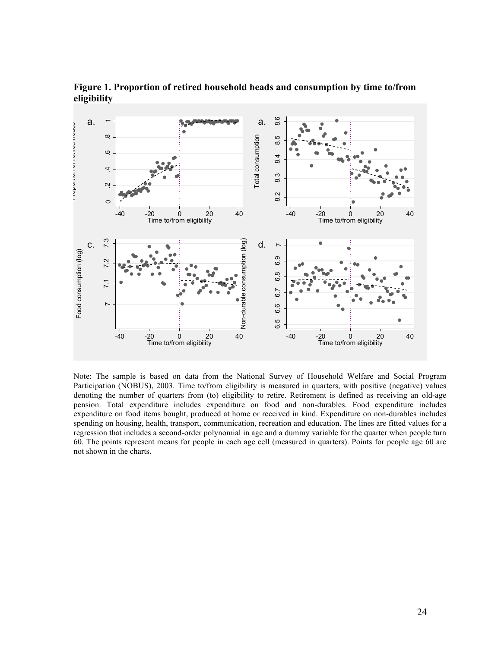

**Figure 1. Proportion of retired household heads and consumption by time to/from eligibility**

Note: The sample is based on data from the National Survey of Household Welfare and Social Program Participation (NOBUS), 2003. Time to/from eligibility is measured in quarters, with positive (negative) values denoting the number of quarters from (to) eligibility to retire. Retirement is defined as receiving an old-age pension. Total expenditure includes expenditure on food and non-durables. Food expenditure includes expenditure on food items bought, produced at home or received in kind. Expenditure on non-durables includes spending on housing, health, transport, communication, recreation and education. The lines are fitted values for a regression that includes a second-order polynomial in age and a dummy variable for the quarter when people turn 60. The points represent means for people in each age cell (measured in quarters). Points for people age 60 are not shown in the charts.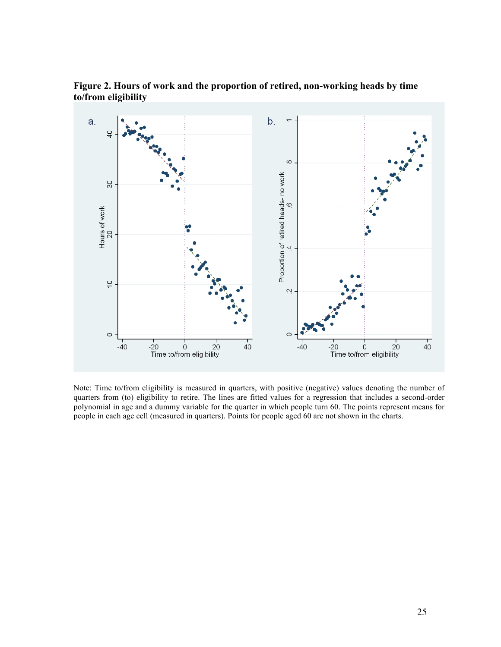

**Figure 2. Hours of work and the proportion of retired, non-working heads by time to/from eligibility**

Note: Time to/from eligibility is measured in quarters, with positive (negative) values denoting the number of quarters from (to) eligibility to retire. The lines are fitted values for a regression that includes a second-order polynomial in age and a dummy variable for the quarter in which people turn 60. The points represent means for people in each age cell (measured in quarters). Points for people aged 60 are not shown in the charts.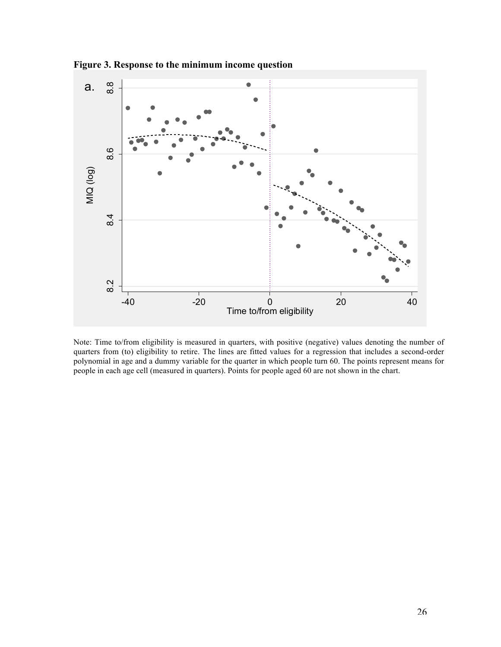

**Figure 3. Response to the minimum income question**

Note: Time to/from eligibility is measured in quarters, with positive (negative) values denoting the number of quarters from (to) eligibility to retire. The lines are fitted values for a regression that includes a second-order polynomial in age and a dummy variable for the quarter in which people turn 60. The points represent means for people in each age cell (measured in quarters). Points for people aged 60 are not shown in the chart.